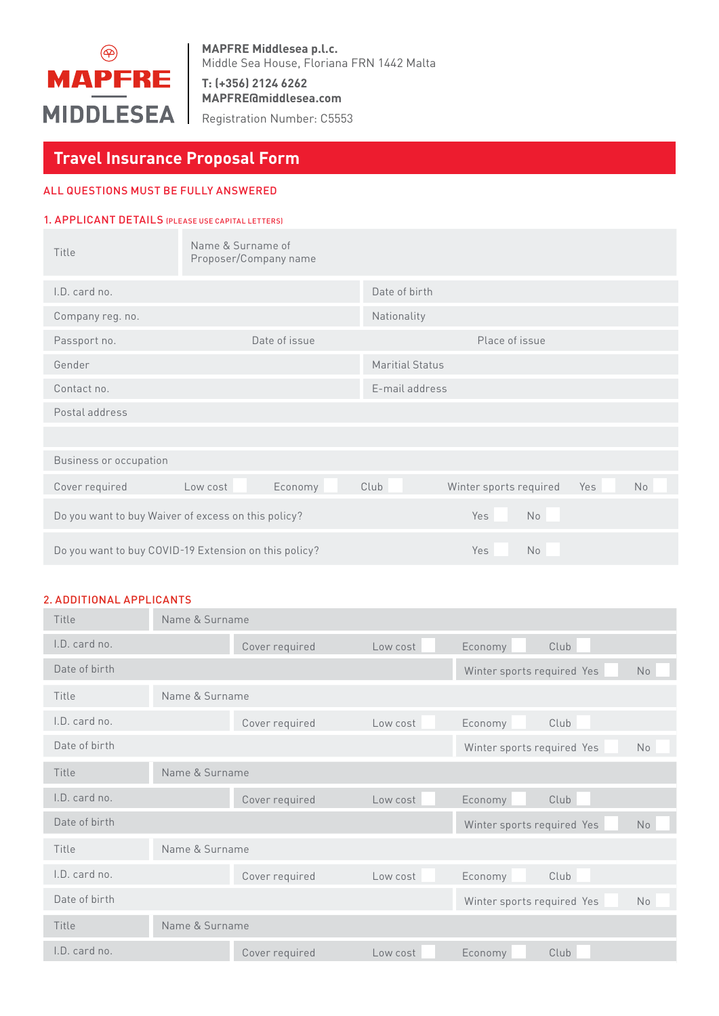

**MAPFRE Middlesea p.l.c.** Middle Sea House, Floriana FRN 1442 Malta

**T: (+356) 2124 6262 MAPFRE@middlesea.com**

Registration Number: C5553

# **Travel Insurance Proposal Form**

# ALL QUESTIONS MUST BE FULLY ANSWERED

#### 1. APPLICANT DETAILS (PLEASE USE CAPITAL LETTERS)

| Title                                               | Name & Surname of<br>Proposer/Company name            |                        |                                            |
|-----------------------------------------------------|-------------------------------------------------------|------------------------|--------------------------------------------|
| I.D. card no.                                       |                                                       | Date of birth          |                                            |
| Company reg. no.                                    |                                                       | Nationality            |                                            |
| Passport no.                                        | Date of issue                                         |                        | Place of issue                             |
| Gender                                              |                                                       | <b>Maritial Status</b> |                                            |
| Contact no.                                         |                                                       | E-mail address         |                                            |
| Postal address                                      |                                                       |                        |                                            |
|                                                     |                                                       |                        |                                            |
| Business or occupation                              |                                                       |                        |                                            |
| Cover required                                      | Low cost<br>Economy                                   | Club                   | Yes<br><b>No</b><br>Winter sports required |
| Do you want to buy Waiver of excess on this policy? |                                                       | Yes                    | No                                         |
|                                                     | Do you want to buy COVID-19 Extension on this policy? | Yes                    | No                                         |

# 2. ADDITIONAL APPLICANTS

| Title         | Name & Surname |                |          |                                              |  |  |
|---------------|----------------|----------------|----------|----------------------------------------------|--|--|
| I.D. card no. |                | Cover required | Low cost | Club<br>Economy                              |  |  |
| Date of birth |                |                |          | No<br>Winter sports required Yes             |  |  |
| Title         | Name & Surname |                |          |                                              |  |  |
| LD. card no.  |                | Cover required | Low cost | Club<br>Economy                              |  |  |
| Date of birth |                |                |          | No<br>Winter sports required Yes             |  |  |
| Title         | Name & Surname |                |          |                                              |  |  |
| LD, card no.  |                | Cover required | Low cost | Club<br>Economy                              |  |  |
| Date of birth |                |                |          | <b>No</b><br>Winter sports required Yes      |  |  |
| Title         | Name & Surname |                |          |                                              |  |  |
| LD, card no.  |                | Cover required | Low cost | Economy<br>Club                              |  |  |
| Date of birth |                |                |          | Winter sports required Yes<br>N <sub>o</sub> |  |  |
| Title         | Name & Surname |                |          |                                              |  |  |
| I.D. card no. |                | Cover required | Low cost | Economy<br>Club                              |  |  |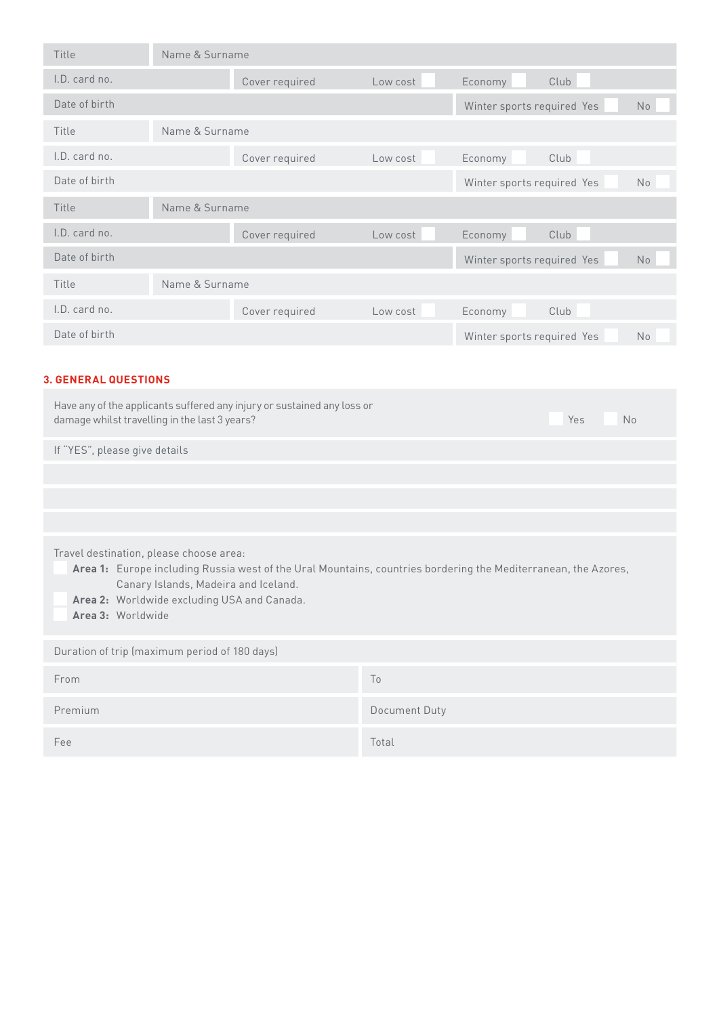| Title         | Name & Surname |                |          |                                              |  |  |
|---------------|----------------|----------------|----------|----------------------------------------------|--|--|
| I.D. card no. |                | Cover required | Low cost | Club<br>Economy                              |  |  |
| Date of birth |                |                |          | Winter sports required Yes<br>N <sub>o</sub> |  |  |
| Title         | Name & Surname |                |          |                                              |  |  |
| I.D. card no. |                | Cover required | Low cost | Club<br>Economy                              |  |  |
| Date of birth |                |                |          | Winter sports required Yes<br>N <sub>o</sub> |  |  |
| Title         | Name & Surname |                |          |                                              |  |  |
| I.D. card no. |                | Cover required | Low cost | Club<br>Economy                              |  |  |
| Date of birth |                |                |          | Winter sports required Yes<br>N <sub>o</sub> |  |  |
| Title         | Name & Surname |                |          |                                              |  |  |
| I.D. card no. |                | Cover required | Low cost | Club<br>Economy                              |  |  |
| Date of birth |                |                |          | Winter sports required Yes<br><b>No</b>      |  |  |

# **3. GENERAL QUESTIONS**

| Have any of the applicants suffered any injury or sustained any loss or<br>damage whilst travelling in the last 3 years?                                                                                                                                              | Yes<br><b>No</b> |  |  |  |  |  |
|-----------------------------------------------------------------------------------------------------------------------------------------------------------------------------------------------------------------------------------------------------------------------|------------------|--|--|--|--|--|
| If "YES", please give details                                                                                                                                                                                                                                         |                  |  |  |  |  |  |
|                                                                                                                                                                                                                                                                       |                  |  |  |  |  |  |
|                                                                                                                                                                                                                                                                       |                  |  |  |  |  |  |
|                                                                                                                                                                                                                                                                       |                  |  |  |  |  |  |
| Travel destination, please choose area:<br>Area 1: Europe including Russia west of the Ural Mountains, countries bordering the Mediterranean, the Azores,<br>Canary Islands, Madeira and Iceland.<br>Area 2: Worldwide excluding USA and Canada.<br>Area 3: Worldwide |                  |  |  |  |  |  |
| Duration of trip (maximum period of 180 days)                                                                                                                                                                                                                         |                  |  |  |  |  |  |
| From                                                                                                                                                                                                                                                                  | To               |  |  |  |  |  |
| Premium                                                                                                                                                                                                                                                               | Document Duty    |  |  |  |  |  |
| Fee                                                                                                                                                                                                                                                                   | Total            |  |  |  |  |  |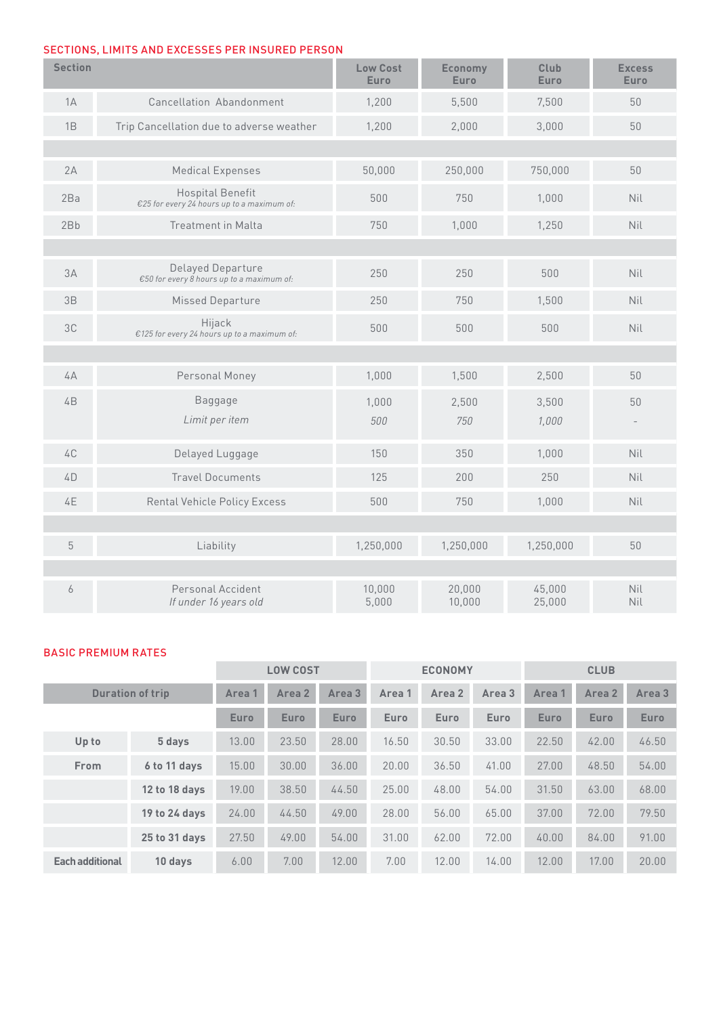# SECTIONS, LIMITS AND EXCESSES PER INSURED PERSON

| <b>Section</b> |                                                                       | <b>Low Cost</b><br><b>Euro</b> | <b>Economy</b><br><b>Euro</b> | Club<br>Euro     | <b>Excess</b><br><b>Euro</b> |
|----------------|-----------------------------------------------------------------------|--------------------------------|-------------------------------|------------------|------------------------------|
| 1A             | Cancellation Abandonment                                              | 1,200                          | 5,500                         | 7,500            | 50                           |
| 1B             | Trip Cancellation due to adverse weather                              | 1,200                          | 2,000                         | 3,000            | 50                           |
|                |                                                                       |                                |                               |                  |                              |
| 2A             | <b>Medical Expenses</b>                                               | 50,000                         | 250,000                       | 750,000          | 50                           |
| 2Ba            | <b>Hospital Benefit</b><br>€25 for every 24 hours up to a maximum of: | 500                            | 750                           | 1.000            | Nil                          |
| 2Bb            | <b>Treatment in Malta</b>                                             | 750                            | 1,000                         | 1,250            | Nil                          |
|                |                                                                       |                                |                               |                  |                              |
| 3A             | Delayed Departure<br>€50 for every 8 hours up to a maximum of:        | 250                            | 250                           | 500              | Nil                          |
| 3B             | Missed Departure                                                      | 250                            | 750                           | 1,500            | Nil                          |
| 3C             | Hijack<br>€125 for every 24 hours up to a maximum of:                 | 500                            | 500                           | 500              | Nil                          |
|                |                                                                       |                                |                               |                  |                              |
| 4A             | Personal Money                                                        | 1,000                          | 1,500                         | 2,500            | 50                           |
| 4B             | <b>Baggage</b>                                                        | 1,000                          | 2,500                         | 3,500            | 50                           |
|                | Limit per item                                                        | 500                            | 750                           | 1,000            |                              |
| 4C             | Delayed Luggage                                                       | 150                            | 350                           | 1,000            | Nil                          |
| 4D             | <b>Travel Documents</b>                                               | 125                            | 200                           | 250              | Nil                          |
| 4E             | <b>Rental Vehicle Policy Excess</b>                                   | 500                            | 750                           | 1,000            | Nil                          |
|                |                                                                       |                                |                               |                  |                              |
| 5              | Liability                                                             | 1,250,000                      | 1,250,000                     | 1,250,000        | 50                           |
|                |                                                                       |                                |                               |                  |                              |
| 6              | Personal Accident<br>If under 16 years old                            | 10,000<br>5,000                | 20,000<br>10,000              | 45,000<br>25,000 | Nil<br>Nil                   |

# BASIC PREMIUM RATES

|                         |               |             | <b>LOW COST</b> |             | <b>ECONOMY</b> |        | <b>CLUB</b> |             |             |             |
|-------------------------|---------------|-------------|-----------------|-------------|----------------|--------|-------------|-------------|-------------|-------------|
| <b>Duration of trip</b> |               | Area 1      | Area 2          | Area 3      | Area 1         | Area 2 | Area 3      | Area 1      | Area 2      | Area 3      |
|                         |               | <b>Euro</b> | <b>Euro</b>     | <b>Euro</b> | Euro           | Euro   | Euro        | <b>Euro</b> | <b>Euro</b> | <b>Euro</b> |
| Up to                   | 5 days        | 13.00       | 23.50           | 28.00       | 16.50          | 30.50  | 33.00       | 22.50       | 42.00       | 46.50       |
| From                    | 6 to 11 days  | 15.00       | 30.00           | 36.00       | 20.00          | 36.50  | 41.00       | 27.00       | 48.50       | 54.00       |
|                         | 12 to 18 days | 19.00       | 38.50           | 44.50       | 25.00          | 48.00  | 54.00       | 31.50       | 63.00       | 68.00       |
|                         | 19 to 24 days | 24.00       | 44.50           | 49.00       | 28.00          | 56.00  | 65.00       | 37.00       | 72.00       | 79.50       |
|                         | 25 to 31 days | 27.50       | 49.00           | 54.00       | 31.00          | 62.00  | 72.00       | 40.00       | 84.00       | 91.00       |
| <b>Each additional</b>  | 10 days       | 6.00        | 7.00            | 12.00       | 7.00           | 12.00  | 14.00       | 12.00       | 17.00       | 20.00       |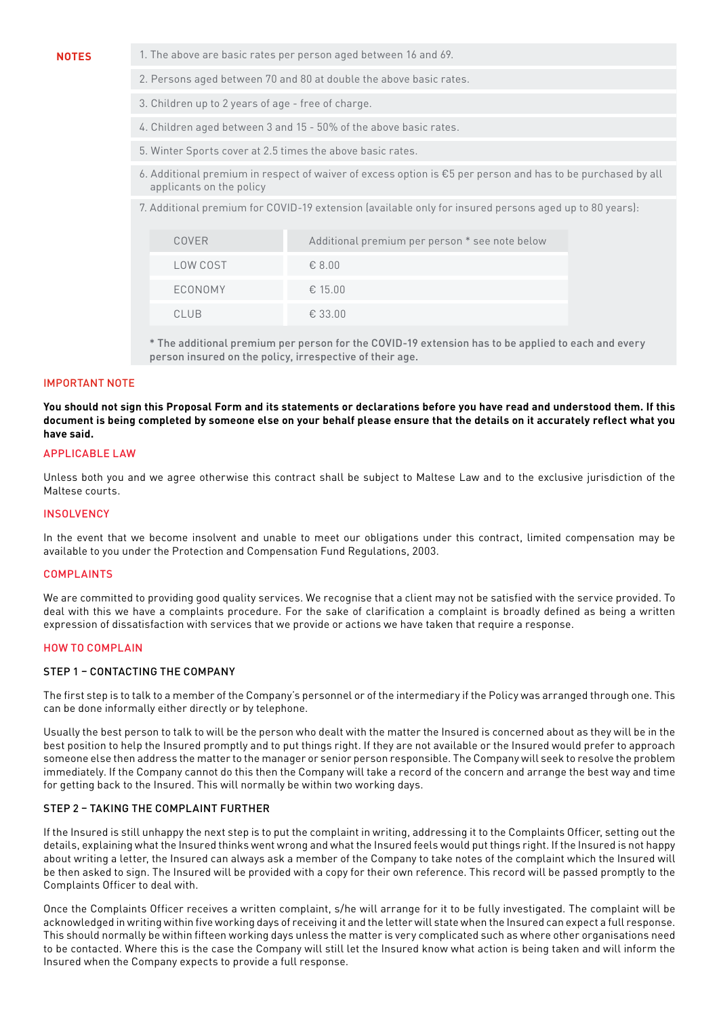- **NOTES** 1. The above are basic rates per person aged between 16 and 69.
	- 2. Persons aged between 70 and 80 at double the above basic rates.
	- 3. Children up to 2 years of age free of charge.
	- 4. Children aged between 3 and 15 50% of the above basic rates.
	- 5. Winter Sports cover at 2.5 times the above basic rates.
	- 6. Additional premium in respect of waiver of excess option is €5 per person and has to be purchased by all applicants on the policy
	- 7. Additional premium for COVID-19 extension (available only for insured persons aged up to 80 years):

| COVER       | Additional premium per person * see note below |
|-------------|------------------------------------------------|
| LOW COST    | $\epsilon$ 8.00                                |
| ECONOMY     | € 15.00                                        |
| <b>CLUB</b> | € 33.00                                        |

\* The additional premium per person for the COVID-19 extension has to be applied to each and every person insured on the policy, irrespective of their age.

#### IMPORTANT NOTE

**You should not sign this Proposal Form and its statements or declarations before you have read and understood them. If this document is being completed by someone else on your behalf please ensure that the details on it accurately reflect what you have said.**

#### APPLICABLE LAW

Unless both you and we agree otherwise this contract shall be subject to Maltese Law and to the exclusive jurisdiction of the Maltese courts.

#### **INSOLVENCY**

In the event that we become insolvent and unable to meet our obligations under this contract, limited compensation may be available to you under the Protection and Compensation Fund Regulations, 2003.

#### **COMPLAINTS**

We are committed to providing good quality services. We recognise that a client may not be satisfied with the service provided. To deal with this we have a complaints procedure. For the sake of clarification a complaint is broadly defined as being a written expression of dissatisfaction with services that we provide or actions we have taken that require a response.

#### HOW TO COMPLAIN

#### STEP 1 – CONTACTING THE COMPANY

The first step is to talk to a member of the Company's personnel or of the intermediary if the Policy was arranged through one. This can be done informally either directly or by telephone.

Usually the best person to talk to will be the person who dealt with the matter the Insured is concerned about as they will be in the best position to help the Insured promptly and to put things right. If they are not available or the Insured would prefer to approach someone else then address the matter to the manager or senior person responsible. The Company will seek to resolve the problem immediately. If the Company cannot do this then the Company will take a record of the concern and arrange the best way and time for getting back to the Insured. This will normally be within two working days.

#### STEP 2 – TAKING THE COMPLAINT FURTHER

If the Insured is still unhappy the next step is to put the complaint in writing, addressing it to the Complaints Officer, setting out the details, explaining what the Insured thinks went wrong and what the Insured feels would put things right. If the Insured is not happy about writing a letter, the Insured can always ask a member of the Company to take notes of the complaint which the Insured will be then asked to sign. The Insured will be provided with a copy for their own reference. This record will be passed promptly to the Complaints Officer to deal with.

Once the Complaints Officer receives a written complaint, s/he will arrange for it to be fully investigated. The complaint will be acknowledged in writing within five working days of receiving it and the letter will state when the Insured can expect a full response. This should normally be within fifteen working days unless the matter is very complicated such as where other organisations need to be contacted. Where this is the case the Company will still let the Insured know what action is being taken and will inform the Insured when the Company expects to provide a full response.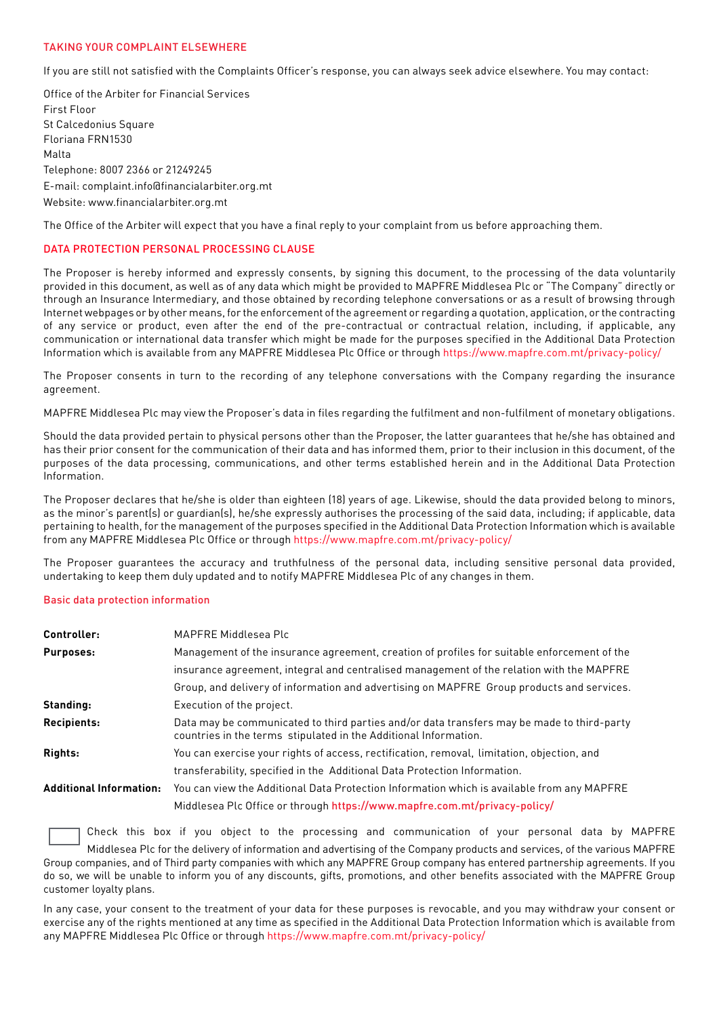### TAKING YOUR COMPLAINT ELSEWHERE

If you are still not satisfied with the Complaints Officer's response, you can always seek advice elsewhere. You may contact:

Office of the Arbiter for Financial Services First Floor St Calcedonius Square Floriana FRN1530 Malta Telephone: 8007 2366 or 21249245 E-mail: complaint.info@financialarbiter.org.mt Website: www.financialarbiter.org.mt

The Office of the Arbiter will expect that you have a final reply to your complaint from us before approaching them.

#### DATA PROTECTION PERSONAL PROCESSING CLAUSE

The Proposer is hereby informed and expressly consents, by signing this document, to the processing of the data voluntarily provided in this document, as well as of any data which might be provided to MAPFRE Middlesea Plc or "The Company" directly or through an Insurance Intermediary, and those obtained by recording telephone conversations or as a result of browsing through Internet webpages or by other means, for the enforcement of the agreement or regarding a quotation, application, or the contracting of any service or product, even after the end of the pre-contractual or contractual relation, including, if applicable, any communication or international data transfer which might be made for the purposes specified in the Additional Data Protection Information which is available from any MAPFRE Middlesea Plc Office or through https://www.mapfre.com.mt/privacy-policy/

The Proposer consents in turn to the recording of any telephone conversations with the Company regarding the insurance agreement.

MAPFRE Middlesea Plc may view the Proposer's data in files regarding the fulfilment and non-fulfilment of monetary obligations.

Should the data provided pertain to physical persons other than the Proposer, the latter guarantees that he/she has obtained and has their prior consent for the communication of their data and has informed them, prior to their inclusion in this document, of the purposes of the data processing, communications, and other terms established herein and in the Additional Data Protection Information.

The Proposer declares that he/she is older than eighteen (18) years of age. Likewise, should the data provided belong to minors, as the minor's parent(s) or quardian(s), he/she expressly authorises the processing of the said data, including; if applicable, data pertaining to health, for the management of the purposes specified in the Additional Data Protection Information which is available from any MAPFRE Middlesea Plc Office or through https://www.mapfre.com.mt/privacy-policy/

The Proposer guarantees the accuracy and truthfulness of the personal data, including sensitive personal data provided, undertaking to keep them duly updated and to notify MAPFRE Middlesea Plc of any changes in them.

#### Basic data protection information

| Controller:                    | MAPFRE Middlesea Plc                                                                                                                                           |
|--------------------------------|----------------------------------------------------------------------------------------------------------------------------------------------------------------|
| <b>Purposes:</b>               | Management of the insurance agreement, creation of profiles for suitable enforcement of the                                                                    |
|                                | insurance agreement, integral and centralised management of the relation with the MAPFRE                                                                       |
|                                | Group, and delivery of information and advertising on MAPFRE Group products and services.                                                                      |
| <b>Standing:</b>               | Execution of the project.                                                                                                                                      |
| Recipients:                    | Data may be communicated to third parties and/or data transfers may be made to third-party<br>countries in the terms stipulated in the Additional Information. |
| Rights:                        | You can exercise your rights of access, rectification, removal, limitation, objection, and                                                                     |
|                                | transferability, specified in the Additional Data Protection Information.                                                                                      |
| <b>Additional Information:</b> | You can view the Additional Data Protection Information which is available from any MAPFRE                                                                     |
|                                | Middlesea Plc Office or through https://www.mapfre.com.mt/privacy-policy/                                                                                      |

Check this box if you object to the processing and communication of your personal data by MAPFRE

Middlesea Plc for the delivery of information and advertising of the Company products and services, of the various MAPFRE Group companies, and of Third party companies with which any MAPFRE Group company has entered partnership agreements. If you do so, we will be unable to inform you of any discounts, gifts, promotions, and other benefits associated with the MAPFRE Group customer loyalty plans.

In any case, your consent to the treatment of your data for these purposes is revocable, and you may withdraw your consent or exercise any of the rights mentioned at any time as specified in the Additional Data Protection Information which is available from any MAPFRE Middlesea Plc Office or through https://www.mapfre.com.mt/privacy-policy/